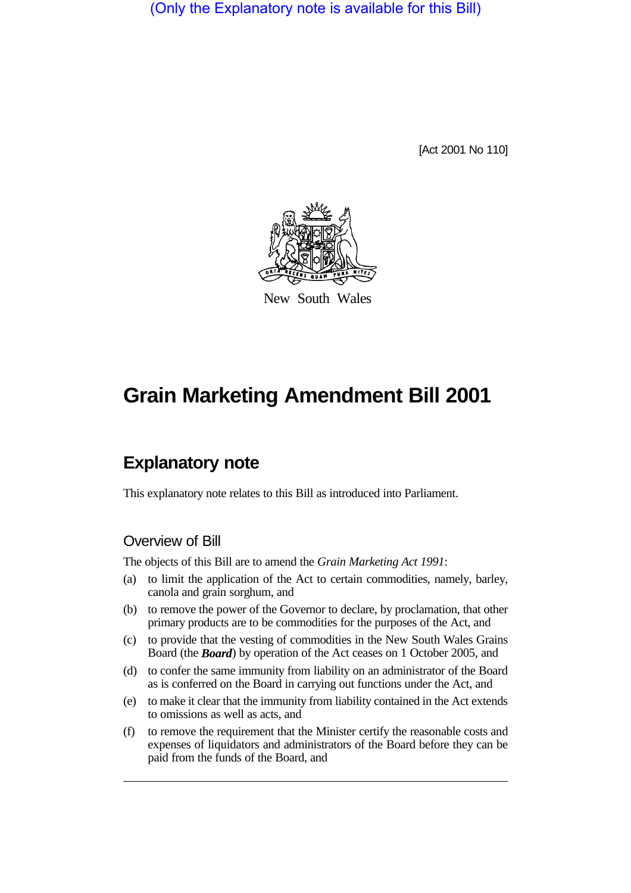(Only the Explanatory note is available for this Bill)

[Act 2001 No 110]



New South Wales

# **Grain Marketing Amendment Bill 2001**

## **Explanatory note**

This explanatory note relates to this Bill as introduced into Parliament.

### Overview of Bill

The objects of this Bill are to amend the *Grain Marketing Act 1991*:

- (a) to limit the application of the Act to certain commodities, namely, barley, canola and grain sorghum, and
- (b) to remove the power of the Governor to declare, by proclamation, that other primary products are to be commodities for the purposes of the Act, and
- (c) to provide that the vesting of commodities in the New South Wales Grains Board (the *Board*) by operation of the Act ceases on 1 October 2005, and
- (d) to confer the same immunity from liability on an administrator of the Board as is conferred on the Board in carrying out functions under the Act, and
- (e) to make it clear that the immunity from liability contained in the Act extends to omissions as well as acts, and
- (f) to remove the requirement that the Minister certify the reasonable costs and expenses of liquidators and administrators of the Board before they can be paid from the funds of the Board, and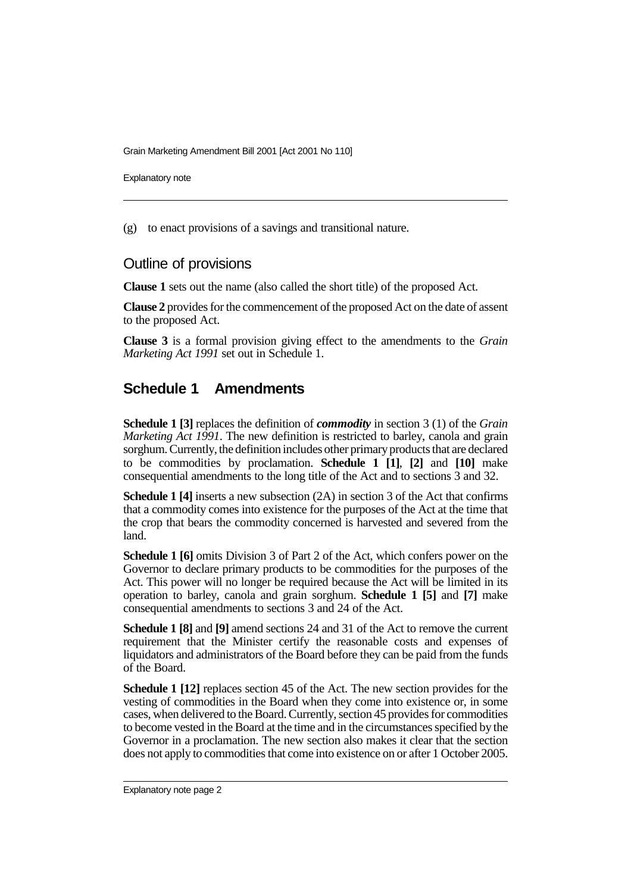Grain Marketing Amendment Bill 2001 [Act 2001 No 110]

Explanatory note

(g) to enact provisions of a savings and transitional nature.

#### Outline of provisions

**Clause 1** sets out the name (also called the short title) of the proposed Act.

**Clause 2** provides for the commencement of the proposed Act on the date of assent to the proposed Act.

**Clause 3** is a formal provision giving effect to the amendments to the *Grain Marketing Act 1991* set out in Schedule 1.

### **Schedule 1 Amendments**

**Schedule 1 [3]** replaces the definition of *commodity* in section 3 (1) of the *Grain Marketing Act 1991*. The new definition is restricted to barley, canola and grain sorghum. Currently, the definition includes other primary products that are declared to be commodities by proclamation. **Schedule 1 [1]**, **[2]** and **[10]** make consequential amendments to the long title of the Act and to sections 3 and 32.

**Schedule 1 [4]** inserts a new subsection (2A) in section 3 of the Act that confirms that a commodity comes into existence for the purposes of the Act at the time that the crop that bears the commodity concerned is harvested and severed from the land.

**Schedule 1 [6]** omits Division 3 of Part 2 of the Act, which confers power on the Governor to declare primary products to be commodities for the purposes of the Act. This power will no longer be required because the Act will be limited in its operation to barley, canola and grain sorghum. **Schedule 1 [5]** and **[7]** make consequential amendments to sections 3 and 24 of the Act.

**Schedule 1 [8]** and **[9]** amend sections 24 and 31 of the Act to remove the current requirement that the Minister certify the reasonable costs and expenses of liquidators and administrators of the Board before they can be paid from the funds of the Board.

**Schedule 1 [12]** replaces section 45 of the Act. The new section provides for the vesting of commodities in the Board when they come into existence or, in some cases, when delivered to the Board. Currently, section 45 provides for commodities to become vested in the Board at the time and in the circumstances specified by the Governor in a proclamation. The new section also makes it clear that the section does not apply to commodities that come into existence on or after 1 October 2005.